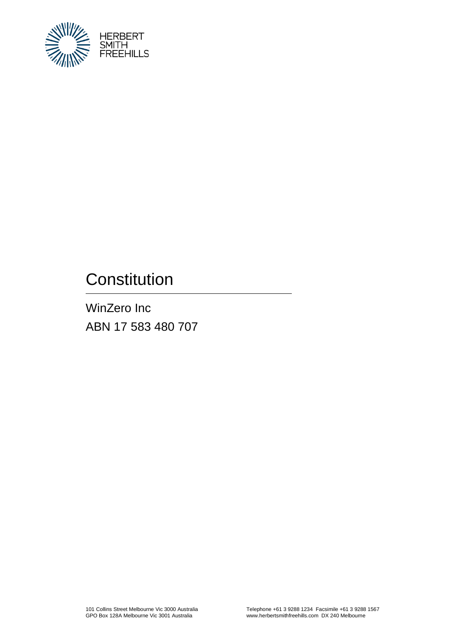

# **Constitution**

WinZero Inc ABN 17 583 480 707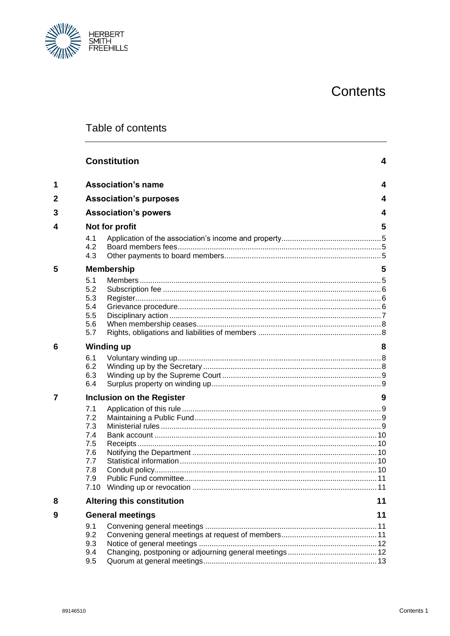# Contents



# Table of contents

|                     |                                                                     | <b>Constitution</b>               | 4  |
|---------------------|---------------------------------------------------------------------|-----------------------------------|----|
| 1                   |                                                                     | <b>Association's name</b>         | 4  |
| 2                   |                                                                     | <b>Association's purposes</b>     | 4  |
| 3                   |                                                                     | <b>Association's powers</b><br>4  |    |
| 4<br>Not for profit |                                                                     |                                   | 5  |
|                     | 4.1<br>4.2<br>4.3                                                   |                                   |    |
| 5                   |                                                                     | <b>Membership</b>                 | 5  |
|                     | 5.1<br>5.2<br>5.3<br>5.4<br>5.5<br>5.6<br>5.7                       |                                   |    |
| 6                   |                                                                     | <b>Winding up</b>                 | 8  |
|                     | 6.1<br>6.2<br>6.3<br>6.4                                            |                                   |    |
|                     |                                                                     | <b>Inclusion on the Register</b>  | 9  |
|                     | 7.1<br>7.2<br>7.3<br>7.4<br>7.5<br>7.6<br>7.7<br>7.8<br>7.9<br>7.10 | Winding up or revocation          |    |
| 8                   |                                                                     | <b>Altering this constitution</b> | 11 |
| 9                   |                                                                     | <b>General meetings</b>           | 11 |
|                     | 9.1<br>9.2<br>9.3<br>9.4<br>9.5                                     |                                   |    |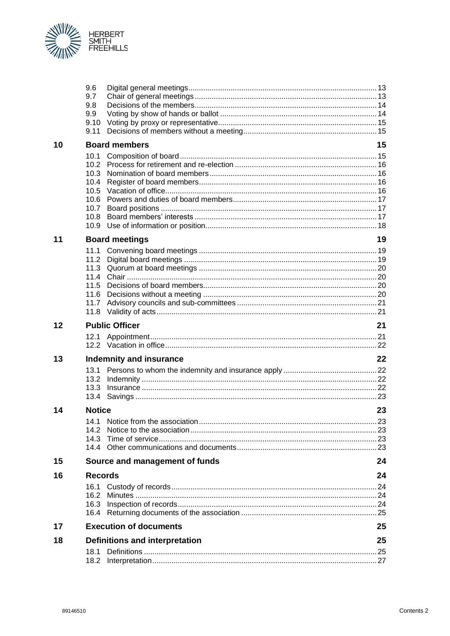

|    | 9.6<br>9.7<br>9.8<br>9.9<br>9.10<br>9.11                             |                                |     |
|----|----------------------------------------------------------------------|--------------------------------|-----|
| 10 |                                                                      | <b>Board members</b>           | 15  |
|    | 10.1<br>10.2<br>10.3<br>10.4<br>10.5<br>10.6<br>10.7<br>10.8<br>10.9 |                                |     |
| 11 |                                                                      | <b>Board meetings</b>          | 19  |
|    | 11.1<br>11.2<br>11.3<br>11.4<br>11.5<br>11.6<br>11.7<br>11.8         |                                |     |
| 12 |                                                                      | <b>Public Officer</b>          | 21  |
|    | 12.1                                                                 |                                |     |
| 13 |                                                                      | <b>Indemnity and insurance</b> | 22  |
|    | 13.1<br>13.2<br>13.3<br>13.4                                         |                                |     |
| 14 | <b>Notice</b>                                                        |                                | 23  |
|    | 14.3                                                                 |                                | .23 |
| 15 |                                                                      | Source and management of funds | 24  |
| 16 | <b>Records</b>                                                       |                                | 24  |
|    | 16.2<br>16.3                                                         |                                |     |
| 17 |                                                                      | <b>Execution of documents</b>  | 25  |
| 18 | 18.1                                                                 | Definitions and interpretation | 25  |
|    |                                                                      |                                |     |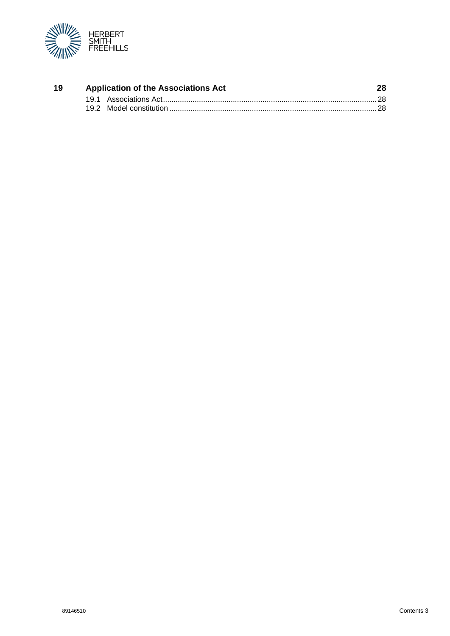

| -19 | <b>Application of the Associations Act</b> |  | 28 |
|-----|--------------------------------------------|--|----|
|     |                                            |  |    |
|     |                                            |  |    |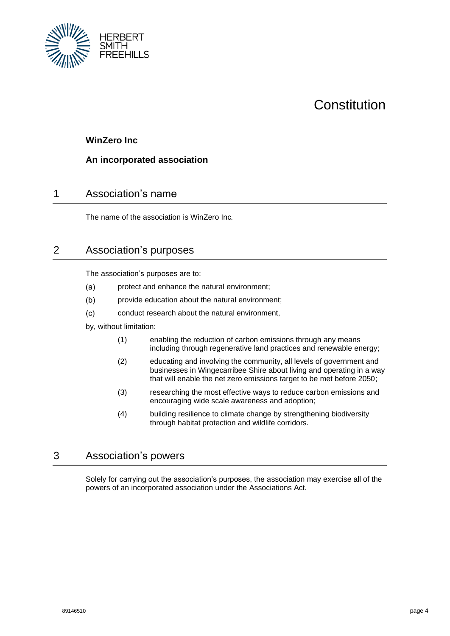

# Constitution

## <span id="page-4-0"></span>**WinZero Inc**

#### **An incorporated association**

# <span id="page-4-1"></span>1 Association's name

The name of the association is WinZero Inc*.*

# <span id="page-4-2"></span>2 Association's purposes

The association's purposes are to:

- $(a)$ protect and enhance the natural environment;
- $(b)$ provide education about the natural environment;
- $(c)$ conduct research about the natural environment,

by, without limitation:

- (1) enabling the reduction of carbon emissions through any means including through regenerative land practices and renewable energy;
- (2) educating and involving the community, all levels of government and businesses in Wingecarribee Shire about living and operating in a way that will enable the net zero emissions target to be met before 2050;
- (3) researching the most effective ways to reduce carbon emissions and encouraging wide scale awareness and adoption;
- (4) building resilience to climate change by strengthening biodiversity through habitat protection and wildlife corridors.

## <span id="page-4-3"></span>3 Association's powers

Solely for carrying out the association's purposes, the association may exercise all of the powers of an incorporated association under the Associations Act.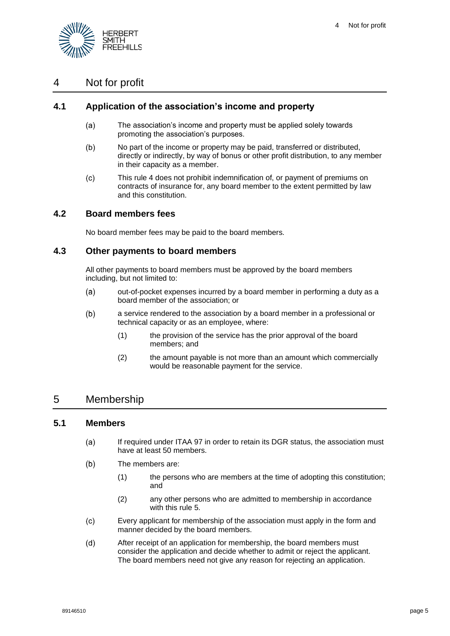

# <span id="page-5-0"></span>4 Not for profit

### <span id="page-5-1"></span>**4.1 Application of the association's income and property**

- $(a)$ The association's income and property must be applied solely towards promoting the association's purposes.
- $(b)$ No part of the income or property may be paid, transferred or distributed, directly or indirectly, by way of bonus or other profit distribution, to any member in their capacity as a member.
- $(c)$ This rule [4](#page-5-0) does not prohibit indemnification of, or payment of premiums on contracts of insurance for, any board member to the extent permitted by law and this constitution.

#### <span id="page-5-2"></span>**4.2 Board members fees**

No board member fees may be paid to the board members.

#### <span id="page-5-3"></span>**4.3 Other payments to board members**

All other payments to board members must be approved by the board members including, but not limited to:

- $(a)$ out-of-pocket expenses incurred by a board member in performing a duty as a board member of the association; or
- $(b)$ a service rendered to the association by a board member in a professional or technical capacity or as an employee, where:
	- (1) the provision of the service has the prior approval of the board members; and
	- (2) the amount payable is not more than an amount which commercially would be reasonable payment for the service.

# <span id="page-5-4"></span>5 Membership

#### <span id="page-5-5"></span>**5.1 Members**

- If required under ITAA 97 in order to retain its DGR status, the association must  $(a)$ have at least 50 members.
- $(b)$ The members are:
	- (1) the persons who are members at the time of adopting this constitution; and
	- (2) any other persons who are admitted to membership in accordance with this rule [5.](#page-5-4)
- Every applicant for membership of the association must apply in the form and  $(c)$ manner decided by the board members.
- $(d)$ After receipt of an application for membership, the board members must consider the application and decide whether to admit or reject the applicant. The board members need not give any reason for rejecting an application.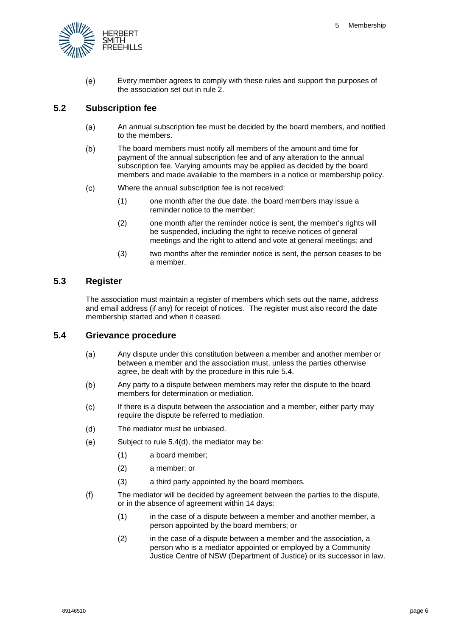

 $(e)$ Every member agrees to comply with these rules and support the purposes of the association set out in rule [2.](#page-4-2)

#### <span id="page-6-0"></span>**5.2 Subscription fee**

- $(a)$ An annual subscription fee must be decided by the board members, and notified to the members.
- $(b)$ The board members must notify all members of the amount and time for payment of the annual subscription fee and of any alteration to the annual subscription fee. Varying amounts may be applied as decided by the board members and made available to the members in a notice or membership policy.
- $(c)$ Where the annual subscription fee is not received:
	- (1) one month after the due date, the board members may issue a reminder notice to the member;
	- (2) one month after the reminder notice is sent, the member's rights will be suspended, including the right to receive notices of general meetings and the right to attend and vote at general meetings; and
	- (3) two months after the reminder notice is sent, the person ceases to be a member.

#### <span id="page-6-1"></span>**5.3 Register**

The association must maintain a register of members which sets out the name, address and email address (if any) for receipt of notices. The register must also record the date membership started and when it ceased.

#### <span id="page-6-2"></span>**5.4 Grievance procedure**

- $(a)$ Any dispute under this constitution between a member and another member or between a member and the association must, unless the parties otherwise agree, be dealt with by the procedure in this rule [5.4.](#page-6-2)
- $(b)$ Any party to a dispute between members may refer the dispute to the board members for determination or mediation.
- $(c)$ If there is a dispute between the association and a member, either party may require the dispute be referred to mediation.
- <span id="page-6-3"></span> $(d)$ The mediator must be unbiased.
- $(e)$ Subject to rule [5.4](#page-6-2)[\(d\),](#page-6-3) the mediator may be:
	- (1) a board member;
	- (2) a member; or
	- (3) a third party appointed by the board members.
- $(f)$ The mediator will be decided by agreement between the parties to the dispute, or in the absence of agreement within 14 days:
	- (1) in the case of a dispute between a member and another member, a person appointed by the board members; or
	- (2) in the case of a dispute between a member and the association, a person who is a mediator appointed or employed by a Community Justice Centre of NSW (Department of Justice) or its successor in law.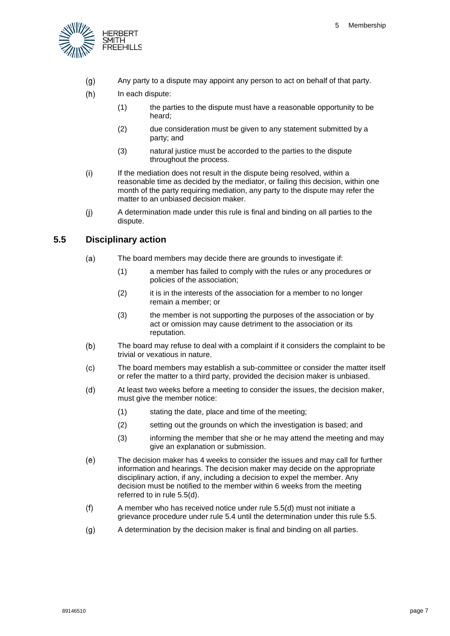

- Any party to a dispute may appoint any person to act on behalf of that party.  $(q)$
- $(h)$ In each dispute:
	- (1) the parties to the dispute must have a reasonable opportunity to be heard;
	- (2) due consideration must be given to any statement submitted by a party; and
	- (3) natural justice must be accorded to the parties to the dispute throughout the process.
- $(i)$ If the mediation does not result in the dispute being resolved, within a reasonable time as decided by the mediator, or failing this decision, within one month of the party requiring mediation, any party to the dispute may refer the matter to an unbiased decision maker.
- $(i)$ A determination made under this rule is final and binding on all parties to the dispute.

#### <span id="page-7-0"></span>**5.5 Disciplinary action**

- $(a)$ The board members may decide there are grounds to investigate if:
	- (1) a member has failed to comply with the rules or any procedures or policies of the association;
	- (2) it is in the interests of the association for a member to no longer remain a member; or
	- (3) the member is not supporting the purposes of the association or by act or omission may cause detriment to the association or its reputation.
- $(b)$ The board may refuse to deal with a complaint if it considers the complaint to be trivial or vexatious in nature.
- $(c)$ The board members may establish a sub-committee or consider the matter itself or refer the matter to a third party, provided the decision maker is unbiased.
- <span id="page-7-1"></span> $(d)$ At least two weeks before a meeting to consider the issues, the decision maker, must give the member notice:
	- (1) stating the date, place and time of the meeting;
	- (2) setting out the grounds on which the investigation is based; and
	- (3) informing the member that she or he may attend the meeting and may give an explanation or submission.
- $(e)$ The decision maker has 4 weeks to consider the issues and may call for further information and hearings. The decision maker may decide on the appropriate disciplinary action, if any, including a decision to expel the member. Any decision must be notified to the member within 6 weeks from the meeting referred to in rule [5.5\(d\).](#page-7-1)
- $(f)$ A member who has received notice under rule [5.5\(d\)](#page-7-1) must not initiate a grievance procedure under rul[e 5.4](#page-6-2) until the determination under this rul[e 5.5.](#page-7-0)
- $(g)$ A determination by the decision maker is final and binding on all parties.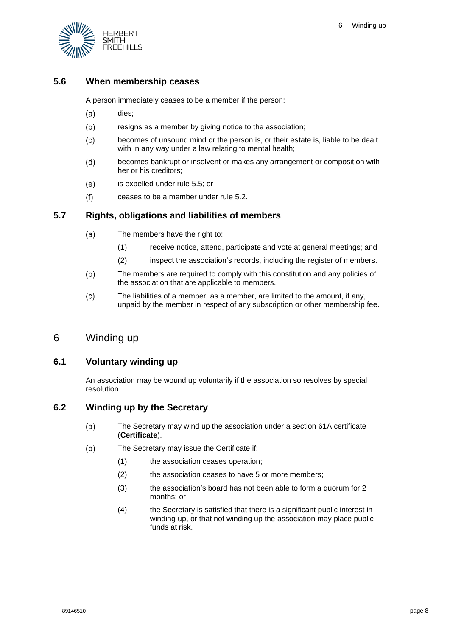

# <span id="page-8-0"></span>**5.6 When membership ceases**

A person immediately ceases to be a member if the person:

- $(a)$ dies;
- $(b)$ resigns as a member by giving notice to the association;
- $(c)$ becomes of unsound mind or the person is, or their estate is, liable to be dealt with in any way under a law relating to mental health;
- becomes bankrupt or insolvent or makes any arrangement or composition with  $(d)$ her or his creditors;
- $(e)$ is expelled under rule [5.5;](#page-7-0) or
- $(f)$ ceases to be a member under rule [5.2.](#page-6-0)

# <span id="page-8-1"></span>**5.7 Rights, obligations and liabilities of members**

- $(a)$ The members have the right to:
	- (1) receive notice, attend, participate and vote at general meetings; and
	- (2) inspect the association's records, including the register of members.
- $(b)$ The members are required to comply with this constitution and any policies of the association that are applicable to members.
- The liabilities of a member, as a member, are limited to the amount, if any,  $(c)$ unpaid by the member in respect of any subscription or other membership fee.

# <span id="page-8-2"></span>6 Winding up

# <span id="page-8-3"></span>**6.1 Voluntary winding up**

An association may be wound up voluntarily if the association so resolves by special resolution.

# <span id="page-8-4"></span>**6.2 Winding up by the Secretary**

- $(a)$ The Secretary may wind up the association under a section 61A certificate (**Certificate**).
- $(b)$ The Secretary may issue the Certificate if:
	- (1) the association ceases operation;
	- (2) the association ceases to have 5 or more members;
	- (3) the association's board has not been able to form a quorum for 2 months; or
	- (4) the Secretary is satisfied that there is a significant public interest in winding up, or that not winding up the association may place public funds at risk.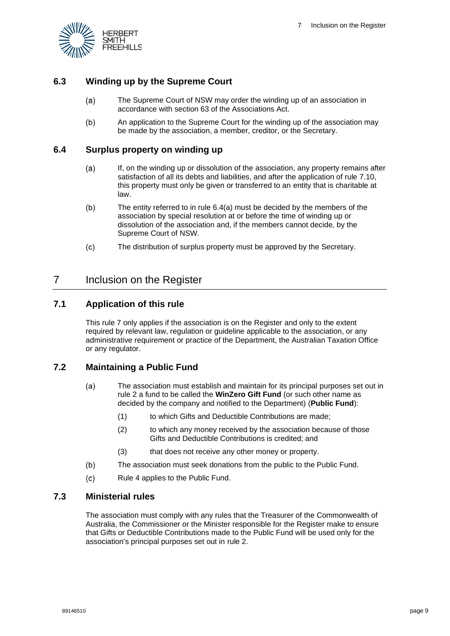

# <span id="page-9-0"></span>**6.3 Winding up by the Supreme Court**

- The Supreme Court of NSW may order the winding up of an association in  $(a)$ accordance with section 63 of the Associations Act.
- $(b)$ An application to the Supreme Court for the winding up of the association may be made by the association, a member, creditor, or the Secretary.

#### <span id="page-9-6"></span><span id="page-9-1"></span>**6.4 Surplus property on winding up**

- $(a)$ If, on the winding up or dissolution of the association, any property remains after satisfaction of all its debts and liabilities, and after the application of rule [7.10,](#page-11-1) this property must only be given or transferred to an entity that is charitable at law.
- The entity referred to in rule [6.4\(a\)](#page-9-6) must be decided by the members of the  $(b)$ association by special resolution at or before the time of winding up or dissolution of the association and, if the members cannot decide, by the Supreme Court of NSW.
- $(c)$ The distribution of surplus property must be approved by the Secretary.

# <span id="page-9-2"></span>7 Inclusion on the Register

#### <span id="page-9-3"></span>**7.1 Application of this rule**

This rule [7](#page-9-2) only applies if the association is on the Register and only to the extent required by relevant law, regulation or guideline applicable to the association, or any administrative requirement or practice of the Department, the Australian Taxation Office or any regulator.

#### <span id="page-9-4"></span>**7.2 Maintaining a Public Fund**

- $(a)$ The association must establish and maintain for its principal purposes set out in rule [2](#page-4-2) a fund to be called the **WinZero Gift Fund** (or such other name as decided by the company and notified to the Department) (**Public Fund**):
	- (1) to which Gifts and Deductible Contributions are made;
	- (2) to which any money received by the association because of those Gifts and Deductible Contributions is credited; and
	- (3) that does not receive any other money or property.
- $(b)$ The association must seek donations from the public to the Public Fund.
- $(c)$ Rule [4](#page-5-0) applies to the Public Fund.

#### <span id="page-9-5"></span>**7.3 Ministerial rules**

The association must comply with any rules that the Treasurer of the Commonwealth of Australia, the Commissioner or the Minister responsible for the Register make to ensure that Gifts or Deductible Contributions made to the Public Fund will be used only for the association's principal purposes set out in rule [2.](#page-4-2)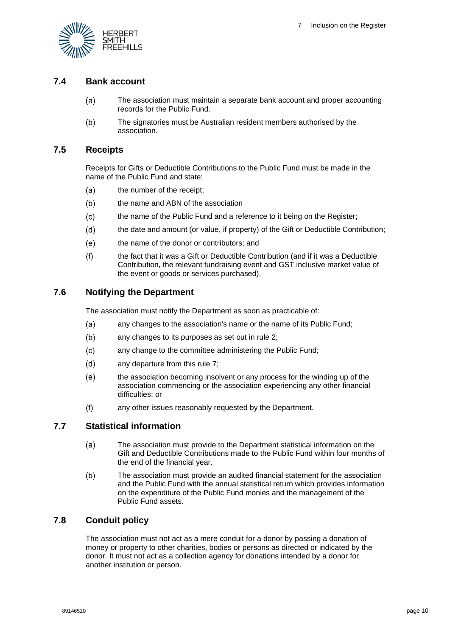

#### <span id="page-10-0"></span>**7.4 Bank account**

- The association must maintain a separate bank account and proper accounting  $(a)$ records for the Public Fund.
- $(b)$ The signatories must be Australian resident members authorised by the association.

#### <span id="page-10-1"></span>**7.5 Receipts**

Receipts for Gifts or Deductible Contributions to the Public Fund must be made in the name of the Public Fund and state:

- $(a)$ the number of the receipt;
- $(b)$ the name and ABN of the association
- the name of the Public Fund and a reference to it being on the Register;  $(c)$
- $(d)$ the date and amount (or value, if property) of the Gift or Deductible Contribution;
- $(e)$ the name of the donor or contributors; and
- the fact that it was a Gift or Deductible Contribution (and if it was a Deductible  $(f)$ Contribution, the relevant fundraising event and GST inclusive market value of the event or goods or services purchased).

#### <span id="page-10-2"></span>**7.6 Notifying the Department**

The association must notify the Department as soon as practicable of:

- $(a)$ any changes to the association's name or the name of its Public Fund;
- $(b)$ any changes to its purposes as set out in rule [2;](#page-4-2)
- $(c)$ any change to the committee administering the Public Fund;
- $(d)$ any departure from this rule [7;](#page-9-2)
- $(e)$ the association becoming insolvent or any process for the winding up of the association commencing or the association experiencing any other financial difficulties; or
- $(f)$ any other issues reasonably requested by the Department.

#### <span id="page-10-3"></span>**7.7 Statistical information**

- $(a)$ The association must provide to the Department statistical information on the Gift and Deductible Contributions made to the Public Fund within four months of the end of the financial year.
- The association must provide an audited financial statement for the association  $(b)$ and the Public Fund with the annual statistical return which provides information on the expenditure of the Public Fund monies and the management of the Public Fund assets.

### <span id="page-10-4"></span>**7.8 Conduit policy**

The association must not act as a mere conduit for a donor by passing a donation of money or property to other charities, bodies or persons as directed or indicated by the donor. It must not act as a collection agency for donations intended by a donor for another institution or person.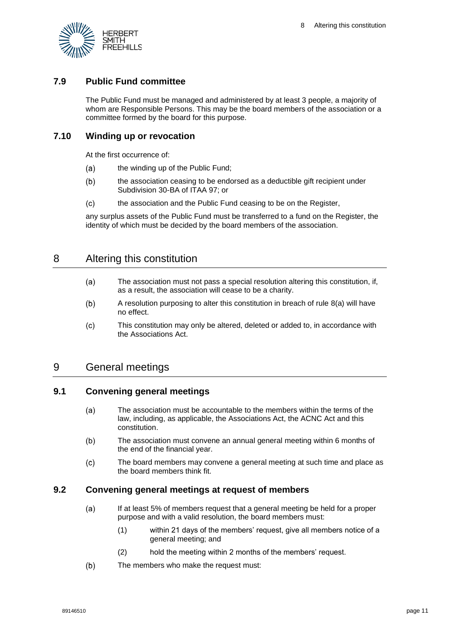

#### <span id="page-11-0"></span>**7.9 Public Fund committee**

The Public Fund must be managed and administered by at least 3 people, a majority of whom are Responsible Persons. This may be the board members of the association or a committee formed by the board for this purpose.

#### <span id="page-11-1"></span>**7.10 Winding up or revocation**

At the first occurrence of:

- $(a)$ the winding up of the Public Fund;
- $(b)$ the association ceasing to be endorsed as a deductible gift recipient under Subdivision 30-BA of ITAA 97; or
- $(c)$ the association and the Public Fund ceasing to be on the Register,

any surplus assets of the Public Fund must be transferred to a fund on the Register, the identity of which must be decided by the board members of the association.

# <span id="page-11-6"></span><span id="page-11-2"></span>8 Altering this constitution

- $(a)$ The association must not pass a special resolution altering this constitution, if, as a result, the association will cease to be a charity.
- $(b)$ A resolution purposing to alter this constitution in breach of rule [8\(a\)](#page-11-6) will have no effect.
- $(c)$ This constitution may only be altered, deleted or added to, in accordance with the Associations Act.

# <span id="page-11-3"></span>9 General meetings

#### <span id="page-11-4"></span>**9.1 Convening general meetings**

- $(a)$ The association must be accountable to the members within the terms of the law, including, as applicable, the Associations Act, the ACNC Act and this constitution.
- $(b)$ The association must convene an annual general meeting within 6 months of the end of the financial year.
- The board members may convene a general meeting at such time and place as  $(c)$ the board members think fit.

#### <span id="page-11-5"></span>**9.2 Convening general meetings at request of members**

- $(a)$ If at least 5% of members request that a general meeting be held for a proper purpose and with a valid resolution, the board members must:
	- (1) within 21 days of the members' request, give all members notice of a general meeting; and
	- (2) hold the meeting within 2 months of the members' request.
- $(b)$ The members who make the request must: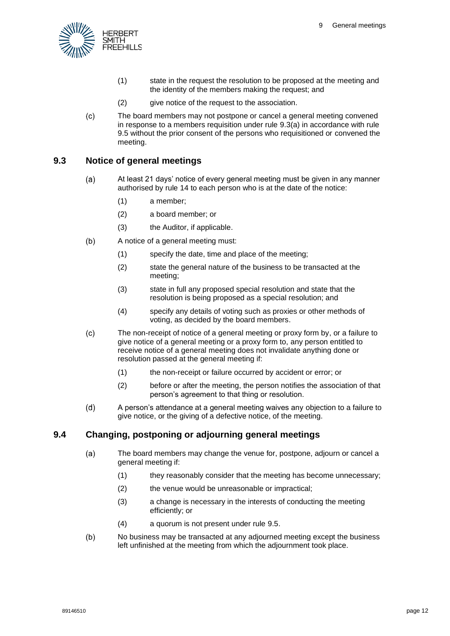

- (1) state in the request the resolution to be proposed at the meeting and the identity of the members making the request; and
- (2) give notice of the request to the association.
- $(c)$ The board members may not postpone or cancel a general meeting convened in response to a members requisition under rule [9.3\(a\)](#page-12-2) in accordance with rule [9.5](#page-13-0) without the prior consent of the persons who requisitioned or convened the meeting.

#### <span id="page-12-2"></span><span id="page-12-0"></span>**9.3 Notice of general meetings**

- $(a)$ At least 21 days' notice of every general meeting must be given in any manner authorised by rule [14](#page-23-1) to each person who is at the date of the notice:
	- (1) a member;
	- (2) a board member; or
	- (3) the Auditor, if applicable.
- $(b)$ A notice of a general meeting must:
	- (1) specify the date, time and place of the meeting;
	- (2) state the general nature of the business to be transacted at the meeting;
	- (3) state in full any proposed special resolution and state that the resolution is being proposed as a special resolution; and
	- (4) specify any details of voting such as proxies or other methods of voting, as decided by the board members.
- $(c)$ The non-receipt of notice of a general meeting or proxy form by, or a failure to give notice of a general meeting or a proxy form to, any person entitled to receive notice of a general meeting does not invalidate anything done or resolution passed at the general meeting if:
	- (1) the non-receipt or failure occurred by accident or error; or
	- (2) before or after the meeting, the person notifies the association of that person's agreement to that thing or resolution.
- $(d)$ A person's attendance at a general meeting waives any objection to a failure to give notice, or the giving of a defective notice, of the meeting.

#### <span id="page-12-1"></span>**9.4 Changing, postponing or adjourning general meetings**

- $(a)$ The board members may change the venue for, postpone, adjourn or cancel a general meeting if:
	- (1) they reasonably consider that the meeting has become unnecessary;
	- (2) the venue would be unreasonable or impractical;
	- (3) a change is necessary in the interests of conducting the meeting efficiently; or
	- (4) a quorum is not present under rule [9.5.](#page-13-0)
- $(b)$ No business may be transacted at any adjourned meeting except the business left unfinished at the meeting from which the adjournment took place.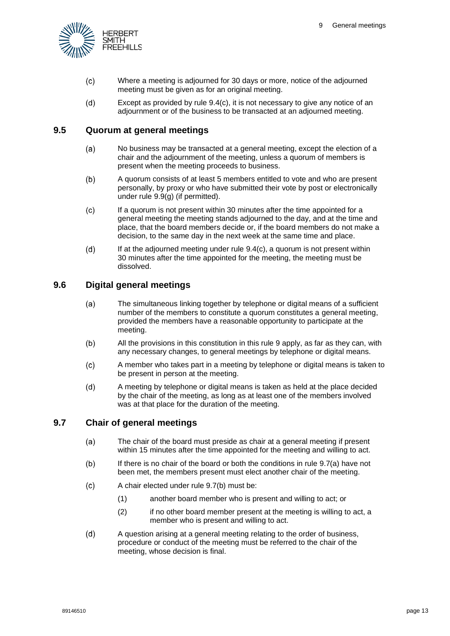

- <span id="page-13-3"></span> $(c)$ Where a meeting is adjourned for 30 days or more, notice of the adjourned meeting must be given as for an original meeting.
- $(d)$ Except as provided by rule [9.4\(c\),](#page-13-3) it is not necessary to give any notice of an adjournment or of the business to be transacted at an adjourned meeting.

#### <span id="page-13-0"></span>**9.5 Quorum at general meetings**

- $(a)$ No business may be transacted at a general meeting, except the election of a chair and the adjournment of the meeting, unless a quorum of members is present when the meeting proceeds to business.
- $(b)$ A quorum consists of at least 5 members entitled to vote and who are present personally, by proxy or who have submitted their vote by post or electronically under rule [9.9\(g\)](#page-15-4) (if permitted).
- <span id="page-13-4"></span> $(c)$ If a quorum is not present within 30 minutes after the time appointed for a general meeting the meeting stands adjourned to the day, and at the time and place, that the board members decide or, if the board members do not make a decision, to the same day in the next week at the same time and place.
- $(d)$ If at the adjourned meeting under rule [9.4](#page-12-1)[\(c\),](#page-13-4) a quorum is not present within 30 minutes after the time appointed for the meeting, the meeting must be dissolved.

## <span id="page-13-1"></span>**9.6 Digital general meetings**

- $(a)$ The simultaneous linking together by telephone or digital means of a sufficient number of the members to constitute a quorum constitutes a general meeting, provided the members have a reasonable opportunity to participate at the meeting.
- $(b)$ All the provisions in this constitution in this rule [9](#page-11-3) apply, as far as they can, with any necessary changes, to general meetings by telephone or digital means.
- A member who takes part in a meeting by telephone or digital means is taken to  $(c)$ be present in person at the meeting.
- $(d)$ A meeting by telephone or digital means is taken as held at the place decided by the chair of the meeting, as long as at least one of the members involved was at that place for the duration of the meeting.

## <span id="page-13-5"></span><span id="page-13-2"></span>**9.7 Chair of general meetings**

- $(a)$ The chair of the board must preside as chair at a general meeting if present within 15 minutes after the time appointed for the meeting and willing to act.
- <span id="page-13-6"></span>If there is no chair of the board or both the conditions in rule [9.7\(a\)](#page-13-5) have not  $(b)$ been met, the members present must elect another chair of the meeting.
- $(c)$ A chair elected under rule [9.7\(b\)](#page-13-6) must be:
	- (1) another board member who is present and willing to act; or
	- (2) if no other board member present at the meeting is willing to act, a member who is present and willing to act.
- $(d)$ A question arising at a general meeting relating to the order of business, procedure or conduct of the meeting must be referred to the chair of the meeting, whose decision is final.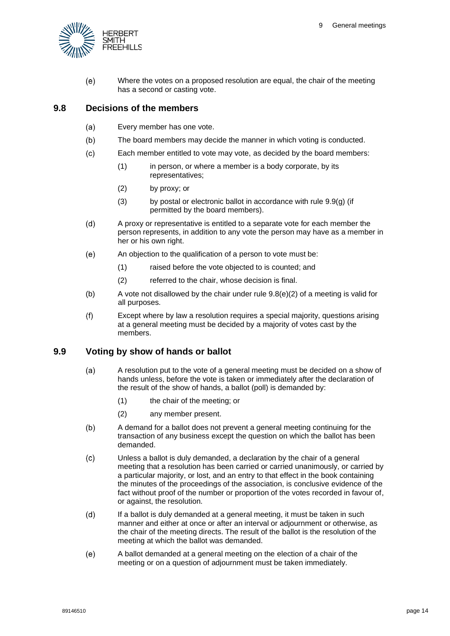

 $(e)$ Where the votes on a proposed resolution are equal, the chair of the meeting has a second or casting vote.

#### <span id="page-14-0"></span>**9.8 Decisions of the members**

- $(a)$ Every member has one vote.
- $(b)$ The board members may decide the manner in which voting is conducted.
- $(c)$ Each member entitled to vote may vote, as decided by the board members:
	- (1) in person, or where a member is a body corporate, by its representatives;
	- (2) by proxy; or
	- (3) by postal or electronic ballot in accordance with rule [9.9\(g\)](#page-15-4) (if permitted by the board members).
- $(d)$ A proxy or representative is entitled to a separate vote for each member the person represents, in addition to any vote the person may have as a member in her or his own right.
- $(e)$ An objection to the qualification of a person to vote must be:
	- (1) raised before the vote objected to is counted; and
	- (2) referred to the chair, whose decision is final.
- <span id="page-14-2"></span>(b) A vote not disallowed by the chair under rule  $9.8(e)(2)$  of a meeting is valid for all purposes.
- $(f)$ Except where by law a resolution requires a special majority, questions arising at a general meeting must be decided by a majority of votes cast by the members.

#### <span id="page-14-1"></span>**9.9 Voting by show of hands or ballot**

- A resolution put to the vote of a general meeting must be decided on a show of  $(a)$ hands unless, before the vote is taken or immediately after the declaration of the result of the show of hands, a ballot (poll) is demanded by:
	- (1) the chair of the meeting; or
	- (2) any member present.
- $(b)$ A demand for a ballot does not prevent a general meeting continuing for the transaction of any business except the question on which the ballot has been demanded.
- $(c)$ Unless a ballot is duly demanded, a declaration by the chair of a general meeting that a resolution has been carried or carried unanimously, or carried by a particular majority, or lost, and an entry to that effect in the book containing the minutes of the proceedings of the association, is conclusive evidence of the fact without proof of the number or proportion of the votes recorded in favour of, or against, the resolution.
- $(d)$ If a ballot is duly demanded at a general meeting, it must be taken in such manner and either at once or after an interval or adjournment or otherwise, as the chair of the meeting directs. The result of the ballot is the resolution of the meeting at which the ballot was demanded.
- $(e)$ A ballot demanded at a general meeting on the election of a chair of the meeting or on a question of adjournment must be taken immediately.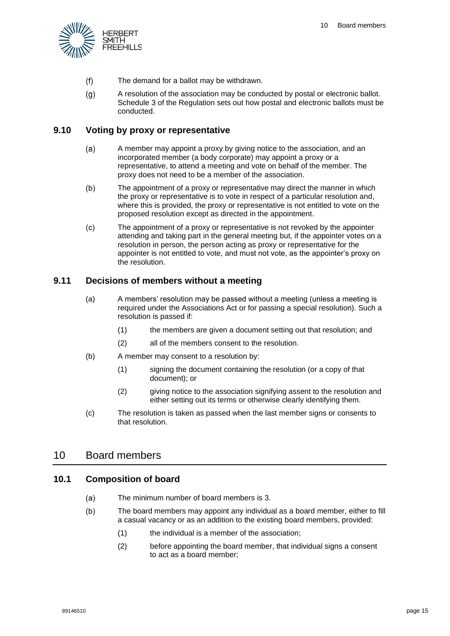

- $(f)$ The demand for a ballot may be withdrawn.
- <span id="page-15-4"></span> $(g)$ A resolution of the association may be conducted by postal or electronic ballot. Schedule 3 of the Regulation sets out how postal and electronic ballots must be conducted.

#### <span id="page-15-0"></span>**9.10 Voting by proxy or representative**

- $(a)$ A member may appoint a proxy by giving notice to the association, and an incorporated member (a body corporate) may appoint a proxy or a representative, to attend a meeting and vote on behalf of the member. The proxy does not need to be a member of the association.
- $(b)$ The appointment of a proxy or representative may direct the manner in which the proxy or representative is to vote in respect of a particular resolution and, where this is provided, the proxy or representative is not entitled to vote on the proposed resolution except as directed in the appointment.
- The appointment of a proxy or representative is not revoked by the appointer  $(c)$ attending and taking part in the general meeting but, if the appointer votes on a resolution in person, the person acting as proxy or representative for the appointer is not entitled to vote, and must not vote, as the appointer's proxy on the resolution.

#### <span id="page-15-1"></span>**9.11 Decisions of members without a meeting**

- (a) A members' resolution may be passed without a meeting (unless a meeting is required under the Associations Act or for passing a special resolution). Such a resolution is passed if:
	- (1) the members are given a document setting out that resolution; and
	- (2) all of the members consent to the resolution.
- (b) A member may consent to a resolution by:
	- (1) signing the document containing the resolution (or a copy of that document); or
	- (2) giving notice to the association signifying assent to the resolution and either setting out its terms or otherwise clearly identifying them.
- (c) The resolution is taken as passed when the last member signs or consents to that resolution.

# <span id="page-15-2"></span>10 Board members

#### <span id="page-15-3"></span>**10.1 Composition of board**

- The minimum number of board members is 3.  $(a)$
- $(b)$ The board members may appoint any individual as a board member, either to fill a casual vacancy or as an addition to the existing board members, provided:
	- (1) the individual is a member of the association;
	- (2) before appointing the board member, that individual signs a consent to act as a board member;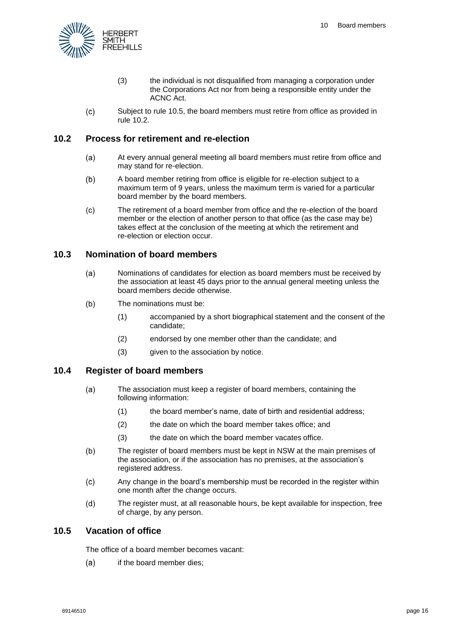

- (3) the individual is not disqualified from managing a corporation under the Corporations Act nor from being a responsible entity under the ACNC Act.
- <span id="page-16-0"></span> $(c)$ Subject to rule [10.5,](#page-16-3) the board members must retire from office as provided in rule [10.2.](#page-16-0)

#### **10.2 Process for retirement and re-election**

- At every annual general meeting all board members must retire from office and  $(a)$ may stand for re-election.
- $(b)$ A board member retiring from office is eligible for re-election subject to a maximum term of 9 years, unless the maximum term is varied for a particular board member by the board members.
- $(c)$ The retirement of a board member from office and the re-election of the board member or the election of another person to that office (as the case may be) takes effect at the conclusion of the meeting at which the retirement and re-election or election occur.

#### <span id="page-16-1"></span>**10.3 Nomination of board members**

- $(a)$ Nominations of candidates for election as board members must be received by the association at least 45 days prior to the annual general meeting unless the board members decide otherwise.
- $(b)$ The nominations must be:
	- (1) accompanied by a short biographical statement and the consent of the candidate;
	- (2) endorsed by one member other than the candidate; and
	- (3) given to the association by notice.

## <span id="page-16-2"></span>**10.4 Register of board members**

- $(a)$ The association must keep a register of board members, containing the following information:
	- (1) the board member's name, date of birth and residential address;
	- (2) the date on which the board member takes office; and
	- (3) the date on which the board member vacates office.
- <span id="page-16-4"></span> $(b)$ The register of board members must be kept in NSW at the main premises of the association, or if the association has no premises, at the association's registered address.
- $(c)$ Any change in the board's membership must be recorded in the register within one month after the change occurs.
- $(d)$ The register must, at all reasonable hours, be kept available for inspection, free of charge, by any person.

#### <span id="page-16-3"></span>**10.5 Vacation of office**

The office of a board member becomes vacant:

 $(a)$ if the board member dies;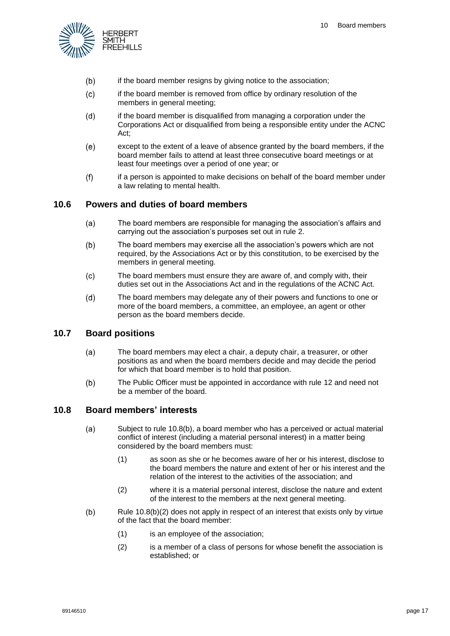

- $(b)$ if the board member resigns by giving notice to the association;
- $(c)$ if the board member is removed from office by ordinary resolution of the members in general meeting;
- if the board member is disqualified from managing a corporation under the  $(d)$ Corporations Act or disqualified from being a responsible entity under the ACNC Act;
- $(e)$ except to the extent of a leave of absence granted by the board members, if the board member fails to attend at least three consecutive board meetings or at least four meetings over a period of one year; or
- $(f)$ if a person is appointed to make decisions on behalf of the board member under a law relating to mental health.

#### <span id="page-17-0"></span>**10.6 Powers and duties of board members**

- $(a)$ The board members are responsible for managing the association's affairs and carrying out the association's purposes set out in rule [2.](#page-4-2)
- $(b)$ The board members may exercise all the association's powers which are not required, by the Associations Act or by this constitution, to be exercised by the members in general meeting.
- $(c)$ The board members must ensure they are aware of, and comply with, their duties set out in the Associations Act and in the regulations of the ACNC Act.
- $(d)$ The board members may delegate any of their powers and functions to one or more of the board members, a committee, an employee, an agent or other person as the board members decide.

#### <span id="page-17-1"></span>**10.7 Board positions**

- $(a)$ The board members may elect a chair, a deputy chair, a treasurer, or other positions as and when the board members decide and may decide the period for which that board member is to hold that position.
- $(b)$ The Public Officer must be appointed in accordance with rule [12](#page-21-2) and need not be a member of the board.

#### <span id="page-17-7"></span><span id="page-17-2"></span>**10.8 Board members' interests**

- <span id="page-17-5"></span> $(a)$ Subject to rule [10.8\(b\),](#page-17-3) a board member who has a perceived or actual material conflict of interest (including a material personal interest) in a matter being considered by the board members must:
	- (1) as soon as she or he becomes aware of her or his interest, disclose to the board members the nature and extent of her or his interest and the relation of the interest to the activities of the association; and
	- (2) where it is a material personal interest, disclose the nature and extent of the interest to the members at the next general meeting.
- <span id="page-17-6"></span><span id="page-17-4"></span><span id="page-17-3"></span> $(b)$ Rule [10.8\(b\)\(2\)](#page-17-4) does not apply in respect of an interest that exists only by virtue of the fact that the board member:
	- (1) is an employee of the association;
	- (2) is a member of a class of persons for whose benefit the association is established; or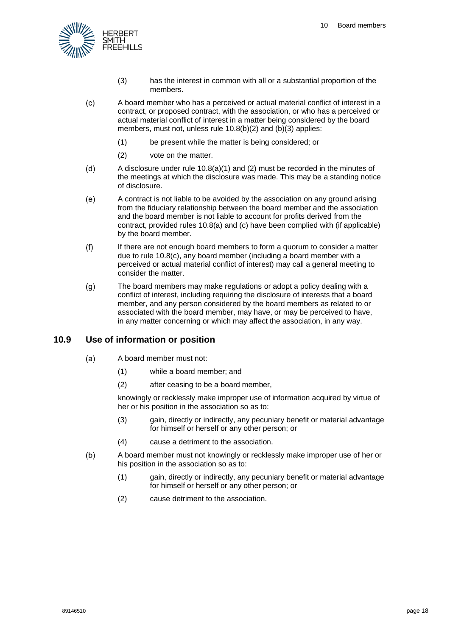

- (3) has the interest in common with all or a substantial proportion of the members.
- <span id="page-18-2"></span><span id="page-18-1"></span> $(c)$ A board member who has a perceived or actual material conflict of interest in a contract, or proposed contract, with the association, or who has a perceived or actual material conflict of interest in a matter being considered by the board members, must not, unless rule [10.8\(b\)\(2\)](#page-17-4) and [\(b\)\(3\)](#page-18-1) applies:
	- (1) be present while the matter is being considered; or
	- (2) vote on the matter.
- $(d)$ A disclosure under rule [10.8\(a\)\(1\)](#page-17-5) and [\(2\)](#page-17-6) must be recorded in the minutes of the meetings at which the disclosure was made. This may be a standing notice of disclosure.
- A contract is not liable to be avoided by the association on any ground arising  $(e)$ from the fiduciary relationship between the board member and the association and the board member is not liable to account for profits derived from the contract, provided rules [10.8\(a\)](#page-17-7) and [\(c\)](#page-18-2) have been complied with (if applicable) by the board member.
- $(f)$ If there are not enough board members to form a quorum to consider a matter due to rule [10.8\(c\),](#page-18-2) any board member (including a board member with a perceived or actual material conflict of interest) may call a general meeting to consider the matter.
- $(q)$ The board members may make regulations or adopt a policy dealing with a conflict of interest, including requiring the disclosure of interests that a board member, and any person considered by the board members as related to or associated with the board member, may have, or may be perceived to have, in any matter concerning or which may affect the association, in any way.

## <span id="page-18-0"></span>**10.9 Use of information or position**

- $(a)$ A board member must not:
	- (1) while a board member; and
	- (2) after ceasing to be a board member,

knowingly or recklessly make improper use of information acquired by virtue of her or his position in the association so as to:

- (3) gain, directly or indirectly, any pecuniary benefit or material advantage for himself or herself or any other person; or
- (4) cause a detriment to the association.
- $(b)$ A board member must not knowingly or recklessly make improper use of her or his position in the association so as to:
	- (1) gain, directly or indirectly, any pecuniary benefit or material advantage for himself or herself or any other person; or
	- (2) cause detriment to the association.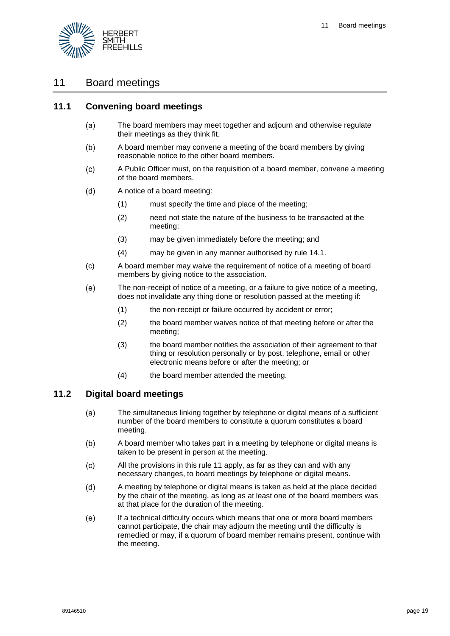

# <span id="page-19-0"></span>11 Board meetings

#### <span id="page-19-1"></span>**11.1 Convening board meetings**

- The board members may meet together and adjourn and otherwise regulate  $(a)$ their meetings as they think fit.
- $(b)$ A board member may convene a meeting of the board members by giving reasonable notice to the other board members.
- $(c)$ A Public Officer must, on the requisition of a board member, convene a meeting of the board members.
- A notice of a board meeting:  $(d)$ 
	- (1) must specify the time and place of the meeting;
	- (2) need not state the nature of the business to be transacted at the meeting;
	- (3) may be given immediately before the meeting; and
	- (4) may be given in any manner authorised by rule [14.1.](#page-23-2)
- (c) A board member may waive the requirement of notice of a meeting of board members by giving notice to the association.
- $(e)$ The non-receipt of notice of a meeting, or a failure to give notice of a meeting, does not invalidate any thing done or resolution passed at the meeting if:
	- (1) the non-receipt or failure occurred by accident or error;
	- (2) the board member waives notice of that meeting before or after the meeting;
	- (3) the board member notifies the association of their agreement to that thing or resolution personally or by post, telephone, email or other electronic means before or after the meeting; or
	- (4) the board member attended the meeting.

#### <span id="page-19-2"></span>**11.2 Digital board meetings**

- $(a)$ The simultaneous linking together by telephone or digital means of a sufficient number of the board members to constitute a quorum constitutes a board meeting.
- $(b)$ A board member who takes part in a meeting by telephone or digital means is taken to be present in person at the meeting.
- All the provisions in this rule [11](#page-19-0) apply, as far as they can and with any  $(c)$ necessary changes, to board meetings by telephone or digital means.
- $(d)$ A meeting by telephone or digital means is taken as held at the place decided by the chair of the meeting, as long as at least one of the board members was at that place for the duration of the meeting.
- $(e)$ If a technical difficulty occurs which means that one or more board members cannot participate, the chair may adjourn the meeting until the difficulty is remedied or may, if a quorum of board member remains present, continue with the meeting.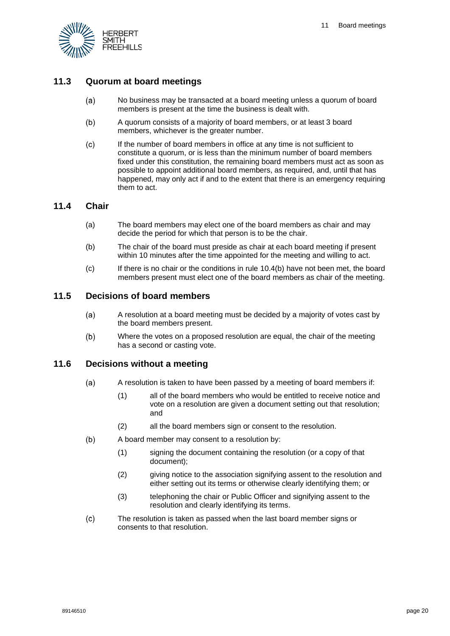

#### <span id="page-20-0"></span>**11.3 Quorum at board meetings**

- No business may be transacted at a board meeting unless a quorum of board  $(a)$ members is present at the time the business is dealt with.
- $(b)$ A quorum consists of a majority of board members, or at least 3 board members, whichever is the greater number.
- $(c)$ If the number of board members in office at any time is not sufficient to constitute a quorum, or is less than the minimum number of board members fixed under this constitution, the remaining board members must act as soon as possible to appoint additional board members, as required, and, until that has happened, may only act if and to the extent that there is an emergency requiring them to act.

#### <span id="page-20-1"></span>**11.4 Chair**

- (a) The board members may elect one of the board members as chair and may decide the period for which that person is to be the chair.
- (b) The chair of the board must preside as chair at each board meeting if present within 10 minutes after the time appointed for the meeting and willing to act.
- (c) If there is no chair or the conditions in rule [10.4\(b\)](#page-16-4) have not been met, the board members present must elect one of the board members as chair of the meeting.

#### <span id="page-20-2"></span>**11.5 Decisions of board members**

- A resolution at a board meeting must be decided by a majority of votes cast by  $(a)$ the board members present.
- Where the votes on a proposed resolution are equal, the chair of the meeting  $(b)$ has a second or casting vote.

#### <span id="page-20-3"></span>**11.6 Decisions without a meeting**

- $(a)$ A resolution is taken to have been passed by a meeting of board members if:
	- (1) all of the board members who would be entitled to receive notice and vote on a resolution are given a document setting out that resolution; and
	- (2) all the board members sign or consent to the resolution.
- $(b)$ A board member may consent to a resolution by:
	- (1) signing the document containing the resolution (or a copy of that document);
	- (2) giving notice to the association signifying assent to the resolution and either setting out its terms or otherwise clearly identifying them; or
	- (3) telephoning the chair or Public Officer and signifying assent to the resolution and clearly identifying its terms.
- $(c)$ The resolution is taken as passed when the last board member signs or consents to that resolution.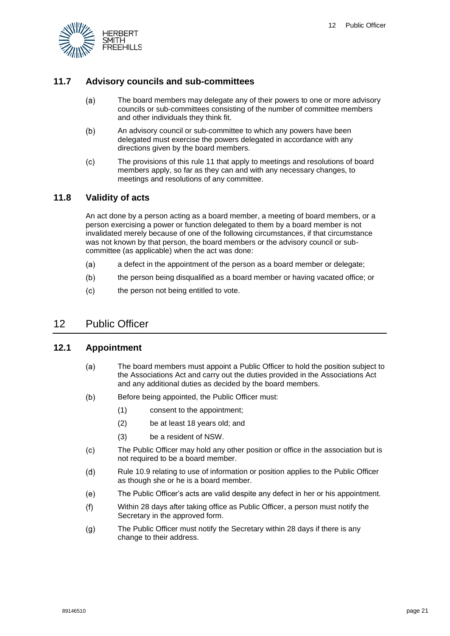

### <span id="page-21-0"></span>**11.7 Advisory councils and sub-committees**

- The board members may delegate any of their powers to one or more advisory  $(a)$ councils or sub-committees consisting of the number of committee members and other individuals they think fit.
- $(b)$ An advisory council or sub-committee to which any powers have been delegated must exercise the powers delegated in accordance with any directions given by the board members.
- $(c)$ The provisions of this rul[e 11](#page-19-0) that apply to meetings and resolutions of board members apply, so far as they can and with any necessary changes, to meetings and resolutions of any committee.

#### <span id="page-21-1"></span>**11.8 Validity of acts**

An act done by a person acting as a board member, a meeting of board members, or a person exercising a power or function delegated to them by a board member is not invalidated merely because of one of the following circumstances, if that circumstance was not known by that person, the board members or the advisory council or subcommittee (as applicable) when the act was done:

- $(a)$ a defect in the appointment of the person as a board member or delegate;
- $(b)$ the person being disqualified as a board member or having vacated office; or
- $(c)$ the person not being entitled to vote.

# <span id="page-21-2"></span>12 Public Officer

#### <span id="page-21-3"></span>**12.1 Appointment**

- $(a)$ The board members must appoint a Public Officer to hold the position subject to the Associations Act and carry out the duties provided in the Associations Act and any additional duties as decided by the board members.
- $(b)$ Before being appointed, the Public Officer must:
	- (1) consent to the appointment;
	- (2) be at least 18 years old; and
	- (3) be a resident of NSW.
- $(c)$ The Public Officer may hold any other position or office in the association but is not required to be a board member.
- Rule [10.9](#page-18-0) relating to use of information or position applies to the Public Officer  $(d)$ as though she or he is a board member.
- The Public Officer's acts are valid despite any defect in her or his appointment.  $(e)$
- $(f)$ Within 28 days after taking office as Public Officer, a person must notify the Secretary in the approved form.
- $(q)$ The Public Officer must notify the Secretary within 28 days if there is any change to their address.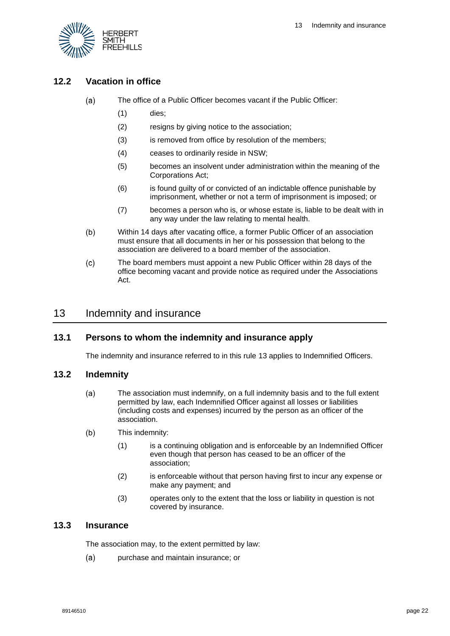

# <span id="page-22-0"></span>**12.2 Vacation in office**

- $(a)$ The office of a Public Officer becomes vacant if the Public Officer:
	- (1) dies;
	- (2) resigns by giving notice to the association;
	- (3) is removed from office by resolution of the members;
	- (4) ceases to ordinarily reside in NSW;
	- (5) becomes an insolvent under administration within the meaning of the Corporations Act;
	- (6) is found guilty of or convicted of an indictable offence punishable by imprisonment, whether or not a term of imprisonment is imposed; or
	- (7) becomes a person who is, or whose estate is, liable to be dealt with in any way under the law relating to mental health.
- $(b)$ Within 14 days after vacating office, a former Public Officer of an association must ensure that all documents in her or his possession that belong to the association are delivered to a board member of the association.
- $(c)$ The board members must appoint a new Public Officer within 28 days of the office becoming vacant and provide notice as required under the Associations Act.

# <span id="page-22-1"></span>13 Indemnity and insurance

#### <span id="page-22-2"></span>**13.1 Persons to whom the indemnity and insurance apply**

The indemnity and insurance referred to in this rule [13](#page-22-1) applies to Indemnified Officers.

#### <span id="page-22-3"></span>**13.2 Indemnity**

- $(a)$ The association must indemnify, on a full indemnity basis and to the full extent permitted by law, each Indemnified Officer against all losses or liabilities (including costs and expenses) incurred by the person as an officer of the association.
- $(b)$ This indemnity:
	- (1) is a continuing obligation and is enforceable by an Indemnified Officer even though that person has ceased to be an officer of the association;
	- (2) is enforceable without that person having first to incur any expense or make any payment; and
	- (3) operates only to the extent that the loss or liability in question is not covered by insurance.

#### <span id="page-22-4"></span>**13.3 Insurance**

The association may, to the extent permitted by law:

 $(a)$ purchase and maintain insurance; or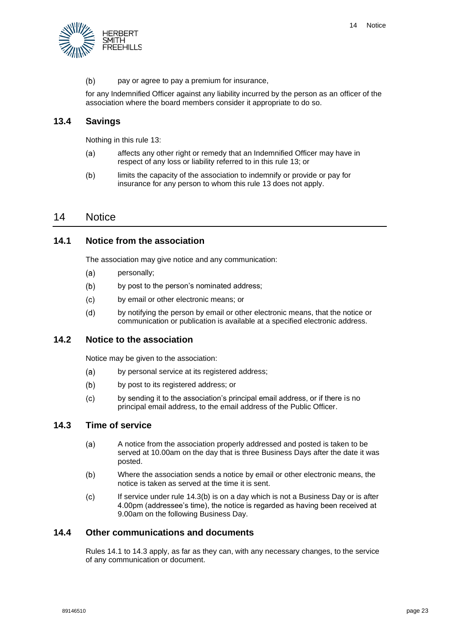

 $(b)$ pay or agree to pay a premium for insurance,

for any Indemnified Officer against any liability incurred by the person as an officer of the association where the board members consider it appropriate to do so.

#### <span id="page-23-0"></span>**13.4 Savings**

Nothing in this rule [13:](#page-22-1)

- $(a)$ affects any other right or remedy that an Indemnified Officer may have in respect of any loss or liability referred to in this rule [13;](#page-22-1) or
- $(b)$ limits the capacity of the association to indemnify or provide or pay for insurance for any person to whom this rule [13](#page-22-1) does not apply.

#### <span id="page-23-1"></span>14 Notice

#### <span id="page-23-2"></span>**14.1 Notice from the association**

The association may give notice and any communication:

- $(a)$ personally;
- $(b)$ by post to the person's nominated address;
- $(c)$ by email or other electronic means; or
- $(d)$ by notifying the person by email or other electronic means, that the notice or communication or publication is available at a specified electronic address.

#### <span id="page-23-3"></span>**14.2 Notice to the association**

Notice may be given to the association:

- $(a)$ by personal service at its registered address;
- $(b)$ by post to its registered address; or
- by sending it to the association's principal email address, or if there is no  $(c)$ principal email address, to the email address of the Public Officer.

#### <span id="page-23-4"></span>**14.3 Time of service**

- $(a)$ A notice from the association properly addressed and posted is taken to be served at 10.00am on the day that is three Business Days after the date it was posted.
- <span id="page-23-6"></span> $(b)$ Where the association sends a notice by email or other electronic means, the notice is taken as served at the time it is sent.
- If service under rule [14.3\(b\)](#page-23-6) is on a day which is not a Business Day or is after  $(c)$ 4.00pm (addressee's time), the notice is regarded as having been received at 9.00am on the following Business Day.

#### <span id="page-23-5"></span>**14.4 Other communications and documents**

Rules [14.1](#page-23-2) to [14.3](#page-23-4) apply, as far as they can, with any necessary changes, to the service of any communication or document.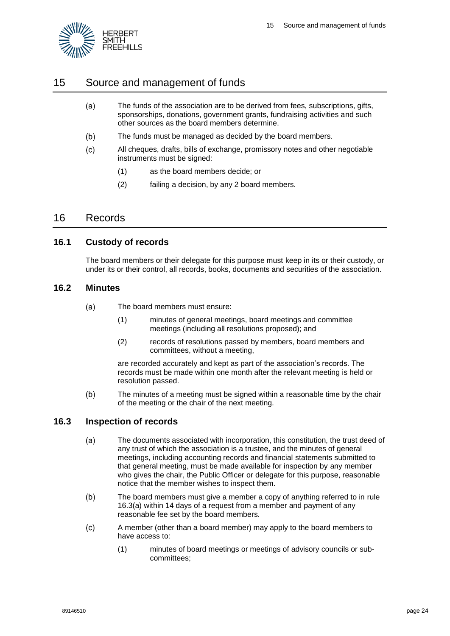

# <span id="page-24-0"></span>15 Source and management of funds

- $(a)$ The funds of the association are to be derived from fees, subscriptions, gifts, sponsorships, donations, government grants, fundraising activities and such other sources as the board members determine.
- $(b)$ The funds must be managed as decided by the board members.
- $(c)$ All cheques, drafts, bills of exchange, promissory notes and other negotiable instruments must be signed:
	- (1) as the board members decide; or
	- (2) failing a decision, by any 2 board members.

## <span id="page-24-1"></span>16 Records

#### <span id="page-24-2"></span>**16.1 Custody of records**

The board members or their delegate for this purpose must keep in its or their custody, or under its or their control, all records, books, documents and securities of the association.

#### <span id="page-24-3"></span>**16.2 Minutes**

- $(a)$ The board members must ensure:
	- (1) minutes of general meetings, board meetings and committee meetings (including all resolutions proposed); and
	- (2) records of resolutions passed by members, board members and committees, without a meeting,

are recorded accurately and kept as part of the association's records. The records must be made within one month after the relevant meeting is held or resolution passed.

 $(b)$ The minutes of a meeting must be signed within a reasonable time by the chair of the meeting or the chair of the next meeting.

#### <span id="page-24-5"></span><span id="page-24-4"></span>**16.3 Inspection of records**

- $(a)$ The documents associated with incorporation, this constitution, the trust deed of any trust of which the association is a trustee, and the minutes of general meetings, including accounting records and financial statements submitted to that general meeting, must be made available for inspection by any member who gives the chair, the Public Officer or delegate for this purpose, reasonable notice that the member wishes to inspect them.
- $(b)$ The board members must give a member a copy of anything referred to in rule [16.3\(a\)](#page-24-5) within 14 days of a request from a member and payment of any reasonable fee set by the board members.
- $(c)$ A member (other than a board member) may apply to the board members to have access to:
	- (1) minutes of board meetings or meetings of advisory councils or subcommittees;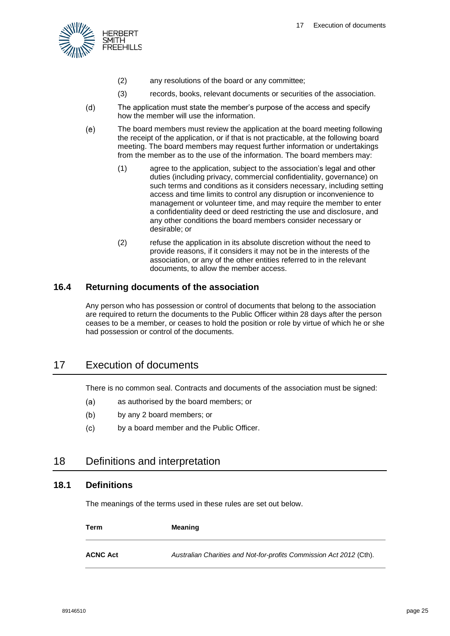

- (2) any resolutions of the board or any committee;
- (3) records, books, relevant documents or securities of the association.
- $(d)$ The application must state the member's purpose of the access and specify how the member will use the information.
- $(e)$ The board members must review the application at the board meeting following the receipt of the application, or if that is not practicable, at the following board meeting. The board members may request further information or undertakings from the member as to the use of the information. The board members may:
	- (1) agree to the application, subject to the association's legal and other duties (including privacy, commercial confidentiality, governance) on such terms and conditions as it considers necessary, including setting access and time limits to control any disruption or inconvenience to management or volunteer time, and may require the member to enter a confidentiality deed or deed restricting the use and disclosure, and any other conditions the board members consider necessary or desirable; or
	- (2) refuse the application in its absolute discretion without the need to provide reasons, if it considers it may not be in the interests of the association, or any of the other entities referred to in the relevant documents, to allow the member access.

#### <span id="page-25-0"></span>**16.4 Returning documents of the association**

Any person who has possession or control of documents that belong to the association are required to return the documents to the Public Officer within 28 days after the person ceases to be a member, or ceases to hold the position or role by virtue of which he or she had possession or control of the documents.

# <span id="page-25-1"></span>17 Execution of documents

There is no common seal. Contracts and documents of the association must be signed:

- $(a)$ as authorised by the board members; or
- $(b)$ by any 2 board members; or
- $(c)$ by a board member and the Public Officer.

# <span id="page-25-2"></span>18 Definitions and interpretation

#### <span id="page-25-3"></span>**18.1 Definitions**

The meanings of the terms used in these rules are set out below.

| Term            | <b>Meaning</b>                                                      |
|-----------------|---------------------------------------------------------------------|
| <b>ACNC Act</b> | Australian Charities and Not-for-profits Commission Act 2012 (Cth). |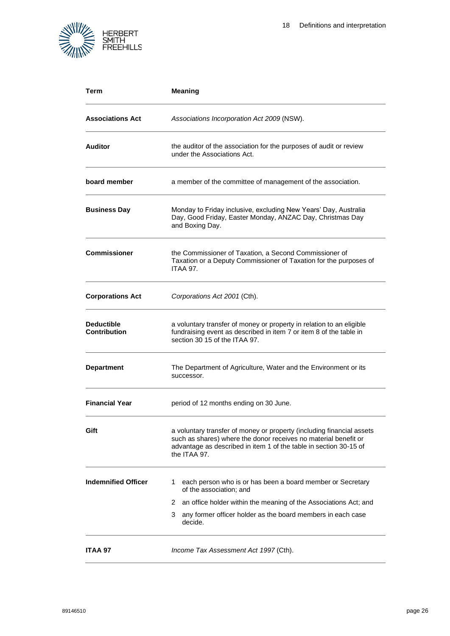

| Term                                     | <b>Meaning</b>                                                                                                                                                                                                                |
|------------------------------------------|-------------------------------------------------------------------------------------------------------------------------------------------------------------------------------------------------------------------------------|
| <b>Associations Act</b>                  | Associations Incorporation Act 2009 (NSW).                                                                                                                                                                                    |
| <b>Auditor</b>                           | the auditor of the association for the purposes of audit or review<br>under the Associations Act.                                                                                                                             |
| board member                             | a member of the committee of management of the association.                                                                                                                                                                   |
| <b>Business Day</b>                      | Monday to Friday inclusive, excluding New Years' Day, Australia<br>Day, Good Friday, Easter Monday, ANZAC Day, Christmas Day<br>and Boxing Day.                                                                               |
| <b>Commissioner</b>                      | the Commissioner of Taxation, a Second Commissioner of<br>Taxation or a Deputy Commissioner of Taxation for the purposes of<br><b>ITAA 97.</b>                                                                                |
| <b>Corporations Act</b>                  | Corporations Act 2001 (Cth).                                                                                                                                                                                                  |
| <b>Deductible</b><br><b>Contribution</b> | a voluntary transfer of money or property in relation to an eligible<br>fundraising event as described in item 7 or item 8 of the table in<br>section 30 15 of the ITAA 97.                                                   |
| <b>Department</b>                        | The Department of Agriculture, Water and the Environment or its<br>successor.                                                                                                                                                 |
| <b>Financial Year</b>                    | period of 12 months ending on 30 June.                                                                                                                                                                                        |
| Gift                                     | a voluntary transfer of money or property (including financial assets<br>such as shares) where the donor receives no material benefit or<br>advantage as described in item 1 of the table in section 30-15 of<br>the ITAA 97. |
| <b>Indemnified Officer</b>               | each person who is or has been a board member or Secretary<br>1.<br>of the association; and                                                                                                                                   |
|                                          | an office holder within the meaning of the Associations Act; and<br>2                                                                                                                                                         |
|                                          | 3<br>any former officer holder as the board members in each case<br>decide.                                                                                                                                                   |
| ITAA 97                                  | Income Tax Assessment Act 1997 (Cth).                                                                                                                                                                                         |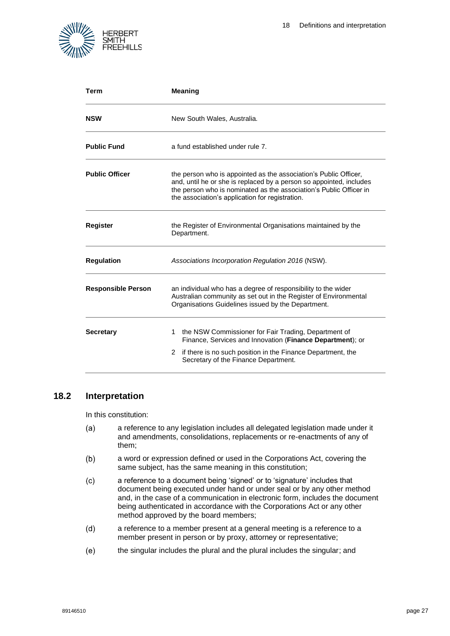

| Term                      | <b>Meaning</b>                                                                                                                                                                                                                                                   |  |  |  |
|---------------------------|------------------------------------------------------------------------------------------------------------------------------------------------------------------------------------------------------------------------------------------------------------------|--|--|--|
| <b>NSW</b>                | New South Wales, Australia.                                                                                                                                                                                                                                      |  |  |  |
| <b>Public Fund</b>        | a fund established under rule 7.                                                                                                                                                                                                                                 |  |  |  |
| <b>Public Officer</b>     | the person who is appointed as the association's Public Officer,<br>and, until he or she is replaced by a person so appointed, includes<br>the person who is nominated as the association's Public Officer in<br>the association's application for registration. |  |  |  |
| <b>Register</b>           | the Register of Environmental Organisations maintained by the<br>Department.                                                                                                                                                                                     |  |  |  |
| <b>Regulation</b>         | Associations Incorporation Regulation 2016 (NSW).                                                                                                                                                                                                                |  |  |  |
| <b>Responsible Person</b> | an individual who has a degree of responsibility to the wider<br>Australian community as set out in the Register of Environmental<br>Organisations Guidelines issued by the Department.                                                                          |  |  |  |
| <b>Secretary</b>          | the NSW Commissioner for Fair Trading, Department of<br>1.<br>Finance, Services and Innovation (Finance Department); or<br>if there is no such position in the Finance Department, the<br>$\mathbf{2}^{\circ}$<br>Secretary of the Finance Department.           |  |  |  |

## <span id="page-27-0"></span>**18.2 Interpretation**

In this constitution:

- $(a)$ a reference to any legislation includes all delegated legislation made under it and amendments, consolidations, replacements or re-enactments of any of them;
- $(b)$ a word or expression defined or used in the Corporations Act, covering the same subject, has the same meaning in this constitution;
- $(c)$ a reference to a document being 'signed' or to 'signature' includes that document being executed under hand or under seal or by any other method and, in the case of a communication in electronic form, includes the document being authenticated in accordance with the Corporations Act or any other method approved by the board members;
- $(d)$ a reference to a member present at a general meeting is a reference to a member present in person or by proxy, attorney or representative;
- $(e)$ the singular includes the plural and the plural includes the singular; and